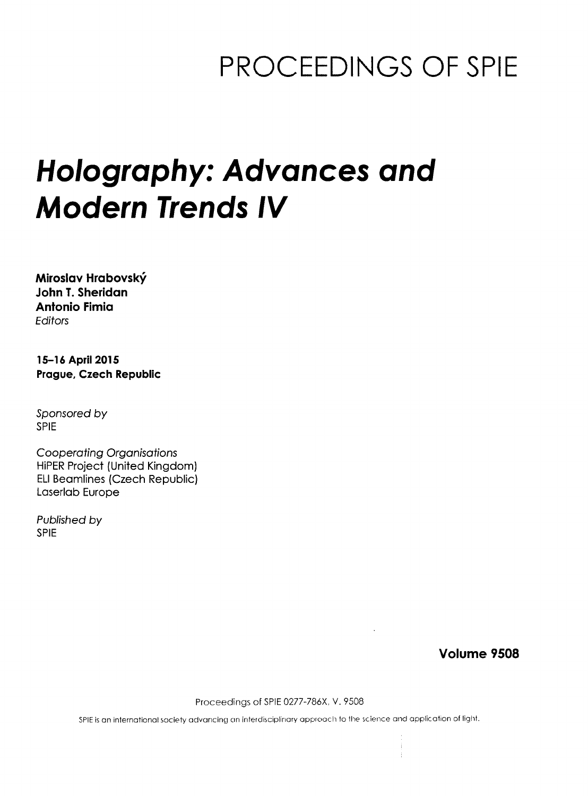## PROCEEDINGS OF SPIE

# Holography: Advances and Modern Trends IV

Miroslav Hrabovsky John T. Sheridan Antonio Fimia Editors

15-16 April 2015 Prague, Czech Republic

Sponsored by SPIE

Cooperating Organisations HiPER Project (United Kingdom) ELI Beamlines (Czech Republic) Laserlab Europe

Published by SPIE

Volume 9508

Proceedings of SPIE 0277-786X, V. 9508

SPIE is an international society advancing an interdisciplinary approach to the science and application of light.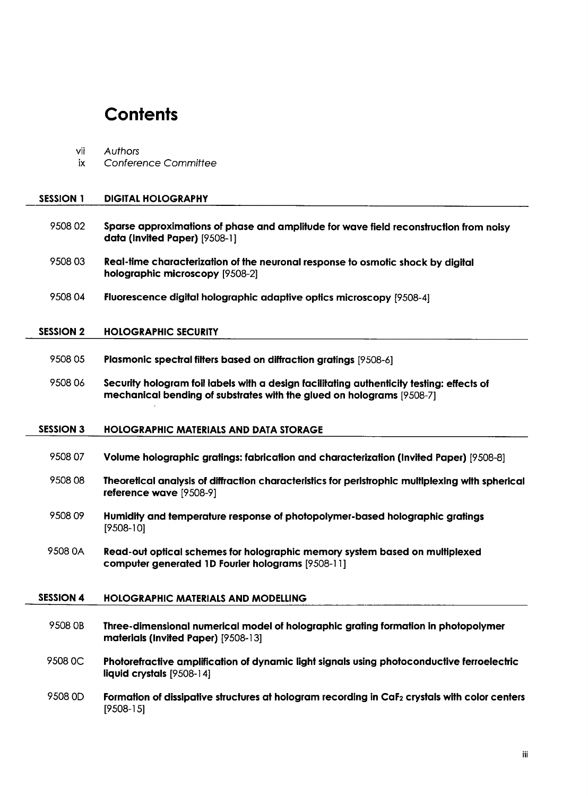### **Contents**

ix Conference Committee

vii Authors

| <b>SESSION 1</b> | <b>DIGITAL HOLOGRAPHY</b>                                                                                                                                          |
|------------------|--------------------------------------------------------------------------------------------------------------------------------------------------------------------|
| 950802           | Sparse approximations of phase and amplitude for wave field reconstruction from noisy<br>data (Invited Paper) [9508-1]                                             |
| 950803           | Real-time characterization of the neuronal response to osmotic shock by digital<br>holographic microscopy [9508-2]                                                 |
| 950804           | Fluorescence digital holographic adaptive optics microscopy [9508-4]                                                                                               |
| <b>SESSION 2</b> | <b>HOLOGRAPHIC SECURITY</b>                                                                                                                                        |
| 9508 05          | Plasmonic spectral filters based on diffraction gratings [9508-6]                                                                                                  |
| 950806           | Security hologram foil labels with a design facilitating authenticity testing: effects of<br>mechanical bending of substrates with the glued on holograms [9508-7] |
| <b>SESSION 3</b> | <b>HOLOGRAPHIC MATERIALS AND DATA STORAGE</b>                                                                                                                      |
| 9508 07          | Volume holographic gratings: fabrication and characterization (Invited Paper) [9508-8]                                                                             |
| 950808           | Theoretical analysis of diffraction characteristics for peristrophic multiplexing with spherical<br>reference wave [9508-9]                                        |
| 9508.09          | Humidity and temperature response of photopolymer-based holographic gratings<br>$[9508-10]$                                                                        |
| 9508 0A          | Read-out optical schemes for holographic memory system based on multiplexed<br>computer generated 1D Fourier holograms [9508-11]                                   |
| <b>SESSION 4</b> | <b>HOLOGRAPHIC MATERIALS AND MODELLING</b>                                                                                                                         |
| 9508 OB          | Three-dimensional numerical model of holographic grating formation in photopolymer<br>materials (Invited Paper) [9508-13]                                          |
| 9508 OC          | Photorefractive amplification of dynamic light signals using photoconductive ferroelectric<br>liquid crystals [9508-14]                                            |
| 9508 OD          | Formation of dissipative structures at hologram recording in CaF <sub>2</sub> crystals with color centers<br>$[9508-15]$                                           |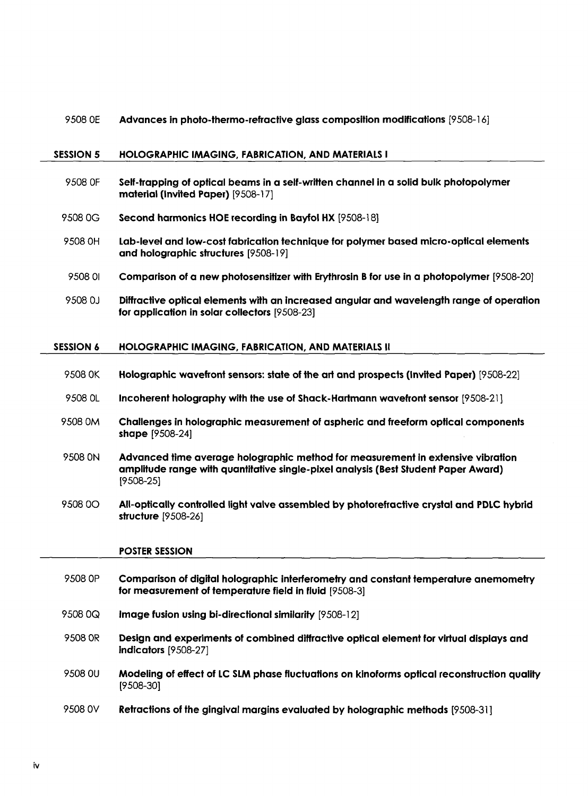### 9508 0E Advances in photo-thermo-refractive glass composition modifications [9508-16]

#### SESSION 5 HOLOGRAPHIC IMAGING, FABRICATION, AND MATERIALS <sup>I</sup>

9508 OF Self-trapping of optical beams in a self-written channel in a solid bulk photopolymer material (Invited Paper) [9508-17] 9508 0G Second harmonics HOE recording in Bayfol HX [9508-18] 9508 OH Lab-level and low-cost fabrication technique for polymer based micro-optical elements and holographic structures [9508-19] 9508 <sup>01</sup> Comparison of a new photosensitizer with Erythrosin B for use in a photopolymer [9508-20] 9508 0J Diffractive optica) elements with an increased angular and wavelength range of operation for application in solar collectors [9508-23] SESSION 6 HOLOGRAPHIC IMAGING, FABRICATION, AND MATERIALS II 9508 OK Holographic wavefront sensors: state of the art and prospects (Invited Paper) [9508-22] 9508 0L Incoherent holography with the use of Shack-Hartmann wavefront sensor [9508-21] <sup>9508</sup> 0M Challenges in holographic measurement of aspheric and freeform optical components shape [9508-24] 9508 ON Advanced time average holographic method for measurement in extensive vibration amplitude range with quantitative single-pixel analysis (Best Student Paper Award) [9508-25] <sup>9508</sup> 00 All-optically controlled light valve assembled by photorefractive crystal and PDLC hybrid structure [9508-26] POSTER SESSION 9508 OP Comparison of digital holographic interferometry and constant temperature anemometry for measurement of temperature field in fluid [9508-3] 9508 0Q Image fusion using bi-directional similarity [9508-12] 9508 OR Design and experiments of combined diffractive optical element for virtual displays and indicators [9508-27] 9508 0U Modeling of effect of LC SLM phase fluctuations on kinoforms optical reconstruction quality [9508-30] 9508 OV Retractions of the gingival margins evaluated by holographic methods [9508-31]